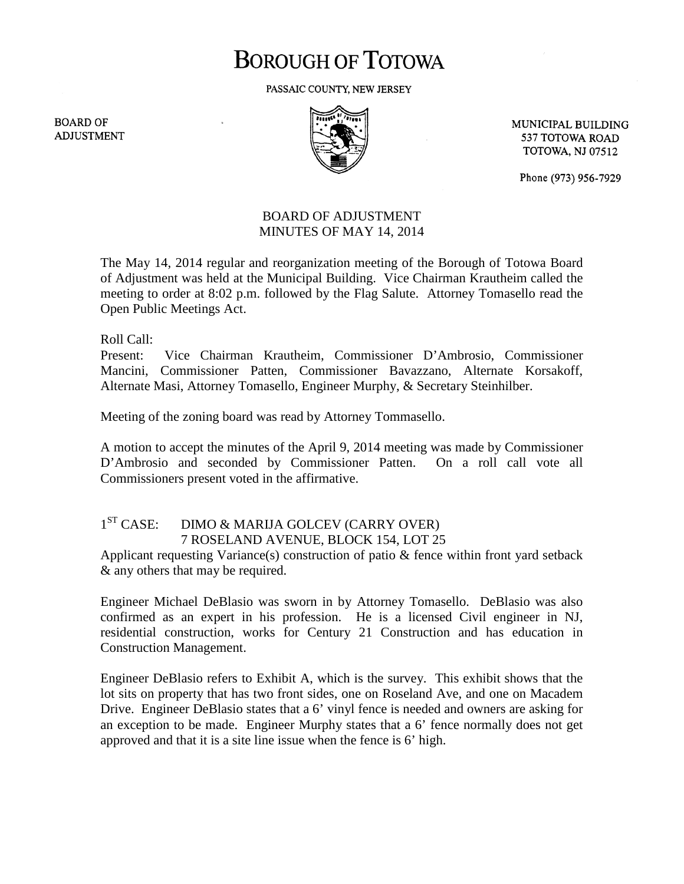# **BOROUGH OF TOTOWA**

PASSAIC COUNTY, NEW JERSEY

**BOARD OF ADJUSTMENT** 



MUNICIPAL BUILDING 537 TOTOWA ROAD **TOTOWA, NJ 07512** 

Phone (973) 956-7929

#### BOARD OF ADJUSTMENT MINUTES OF MAY 14, 2014

The May 14, 2014 regular and reorganization meeting of the Borough of Totowa Board of Adjustment was held at the Municipal Building. Vice Chairman Krautheim called the meeting to order at 8:02 p.m. followed by the Flag Salute. Attorney Tomasello read the Open Public Meetings Act.

Roll Call:

Present: Vice Chairman Krautheim, Commissioner D'Ambrosio, Commissioner Mancini, Commissioner Patten, Commissioner Bavazzano, Alternate Korsakoff, Alternate Masi, Attorney Tomasello, Engineer Murphy, & Secretary Steinhilber.

Meeting of the zoning board was read by Attorney Tommasello.

A motion to accept the minutes of the April 9, 2014 meeting was made by Commissioner D'Ambrosio and seconded by Commissioner Patten. On a roll call vote all Commissioners present voted in the affirmative.

## 1<sup>ST</sup> CASE: DIMO & MARIJA GOLCEV (CARRY OVER) 7 ROSELAND AVENUE, BLOCK 154, LOT 25

Applicant requesting Variance(s) construction of patio & fence within front yard setback & any others that may be required.

Engineer Michael DeBlasio was sworn in by Attorney Tomasello. DeBlasio was also confirmed as an expert in his profession. He is a licensed Civil engineer in NJ, residential construction, works for Century 21 Construction and has education in Construction Management.

Engineer DeBlasio refers to Exhibit A, which is the survey. This exhibit shows that the lot sits on property that has two front sides, one on Roseland Ave, and one on Macadem Drive. Engineer DeBlasio states that a 6' vinyl fence is needed and owners are asking for an exception to be made. Engineer Murphy states that a 6' fence normally does not get approved and that it is a site line issue when the fence is 6' high.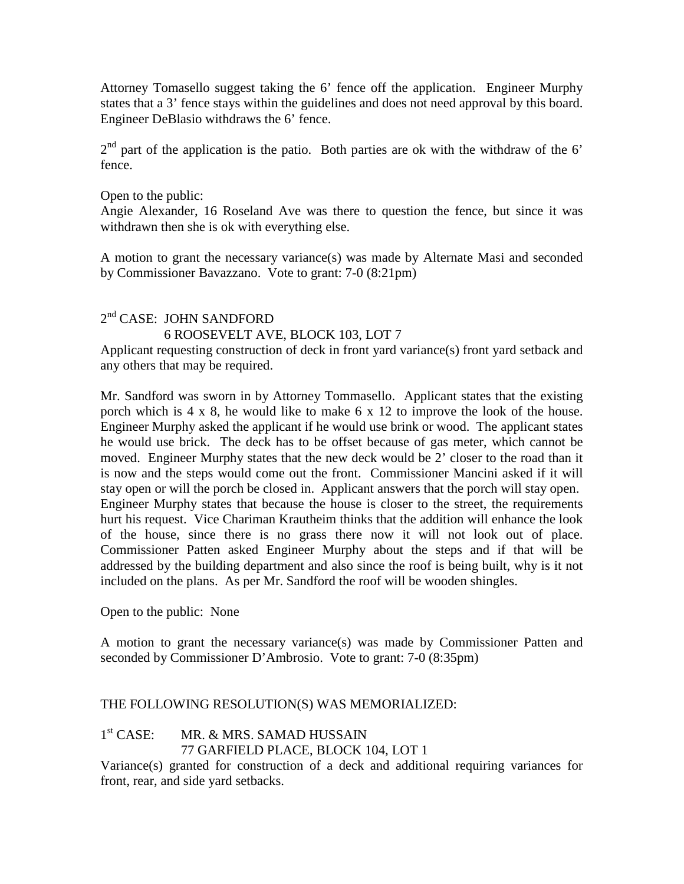Attorney Tomasello suggest taking the 6' fence off the application. Engineer Murphy states that a 3' fence stays within the guidelines and does not need approval by this board. Engineer DeBlasio withdraws the 6' fence.

 $2<sup>nd</sup>$  part of the application is the patio. Both parties are ok with the withdraw of the 6' fence.

Open to the public:

Angie Alexander, 16 Roseland Ave was there to question the fence, but since it was withdrawn then she is ok with everything else.

A motion to grant the necessary variance(s) was made by Alternate Masi and seconded by Commissioner Bavazzano. Vote to grant: 7-0 (8:21pm)

## 2<sup>nd</sup> CASE: JOHN SANDFORD 6 ROOSEVELT AVE, BLOCK 103, LOT 7

Applicant requesting construction of deck in front yard variance(s) front yard setback and any others that may be required.

Mr. Sandford was sworn in by Attorney Tommasello. Applicant states that the existing porch which is 4 x 8, he would like to make 6 x 12 to improve the look of the house. Engineer Murphy asked the applicant if he would use brink or wood. The applicant states he would use brick. The deck has to be offset because of gas meter, which cannot be moved. Engineer Murphy states that the new deck would be 2' closer to the road than it is now and the steps would come out the front. Commissioner Mancini asked if it will stay open or will the porch be closed in. Applicant answers that the porch will stay open. Engineer Murphy states that because the house is closer to the street, the requirements hurt his request. Vice Chariman Krautheim thinks that the addition will enhance the look of the house, since there is no grass there now it will not look out of place. Commissioner Patten asked Engineer Murphy about the steps and if that will be addressed by the building department and also since the roof is being built, why is it not included on the plans. As per Mr. Sandford the roof will be wooden shingles.

Open to the public: None

A motion to grant the necessary variance(s) was made by Commissioner Patten and seconded by Commissioner D'Ambrosio. Vote to grant: 7-0 (8:35pm)

## THE FOLLOWING RESOLUTION(S) WAS MEMORIALIZED:

## 1<sup>st</sup> CASE: MR. & MRS. SAMAD HUSSAIN

77 GARFIELD PLACE, BLOCK 104, LOT 1

Variance(s) granted for construction of a deck and additional requiring variances for front, rear, and side yard setbacks.